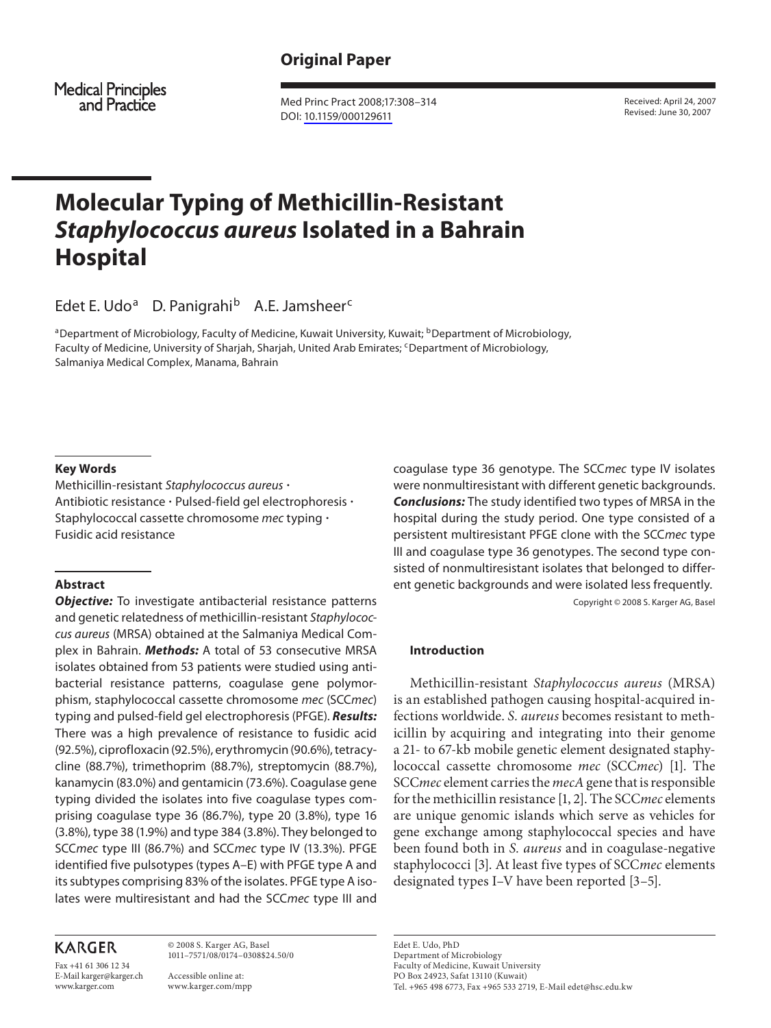**Medical Principles** and Practice

 Med Princ Pract 2008;17:308–314 DOI: 10.1159/000129611

 Received: April 24, 2007 Revised: June 30, 2007

# **Molecular Typing of Methicillin-Resistant Staphylococcus aureus Isolated in a Bahrain Hospital**

Edet E. Udo<sup>a</sup> D. Panigrahi<sup>b</sup> A.E. Jamsheer<sup>c</sup>

<sup>a</sup>Department of Microbiology, Faculty of Medicine, Kuwait University, Kuwait; <sup>b</sup>Department of Microbiology, Faculty of Medicine, University of Sharjah, Sharjah, United Arab Emirates; <sup>c</sup>Department of Microbiology, Salmaniya Medical Complex, Manama, Bahrain

## **Key Words**

 Methicillin-resistant Staphylococcus aureus -Antibiotic resistance · Pulsed-field gel electrophoresis · Staphylococcal cassette chromosome mec typing  $\cdot$ Fusidic acid resistance

## **Abstract**

**Objective:** To investigate antibacterial resistance patterns and genetic relatedness of methicillin-resistant Staphylococcus aureus (MRSA) obtained at the Salmaniya Medical Complex in Bahrain. **Methods:** A total of 53 consecutive MRSA isolates obtained from 53 patients were studied using antibacterial resistance patterns, coagulase gene polymorphism, staphylococcal cassette chromosome mec (SCCmec) typing and pulsed-field gel electrophoresis (PFGE). **Results:** There was a high prevalence of resistance to fusidic acid (92.5%), ciprofloxacin (92.5%), erythromycin (90.6%), tetracycline (88.7%), trimethoprim (88.7%), streptomycin (88.7%), kanamycin (83.0%) and gentamicin (73.6%). Coagulase gene typing divided the isolates into five coagulase types comprising coagulase type 36 (86.7%), type 20 (3.8%), type 16 (3.8%), type 38 (1.9%) and type 384 (3.8%). They belonged to SCC mec type III (86.7%) and SCC mec type IV (13.3%). PFGE identified five pulsotypes (types A–E) with PFGE type A and its subtypes comprising 83% of the isolates. PFGE type A isolates were multiresistant and had the SCC mec type III and

# **KARGER**

Fax +41 61 306 12 34 E-Mail karger@karger.ch www.karger.com

 © 2008 S. Karger AG, Basel 1011–7571/08/0174–0308\$24.50/0

 Accessible online at: www.karger.com/mpp coagulase type 36 genotype. The SCC mec type IV isolates were nonmultiresistant with different genetic backgrounds. **Conclusions:** The study identified two types of MRSA in the hospital during the study period. One type consisted of a persistent multiresistant PFGE clone with the SCC mec type III and coagulase type 36 genotypes. The second type consisted of nonmultiresistant isolates that belonged to different genetic backgrounds and were isolated less frequently. Copyright © 2008 S. Karger AG, Basel

 **Introduction** 

 Methicillin-resistant *Staphylococcus aureus* (MRSA) is an established pathogen causing hospital-acquired infections worldwide. *S. aureus* becomes resistant to methicillin by acquiring and integrating into their genome a 21- to 67-kb mobile genetic element designated staphylococcal cassette chromosome *mec* (SCC*mec*) [1]. The SCC *mec* element carries the *mecA* gene that is responsible for the methicillin resistance [1, 2] . The SCC *mec* elements are unique genomic islands which serve as vehicles for gene exchange among staphylococcal species and have been found both in *S. aureus* and in coagulase-negative staphylococci [3]. At least five types of *SCC mec* elements designated types I–V have been reported [3–5] .

 Edet E. Udo, PhD Department of Microbiology Faculty of Medicine, Kuwait University PO Box 24923, Safat 13110 (Kuwait) Tel. +965 498 6773, Fax +965 533 2719, E-Mail edet@hsc.edu.kw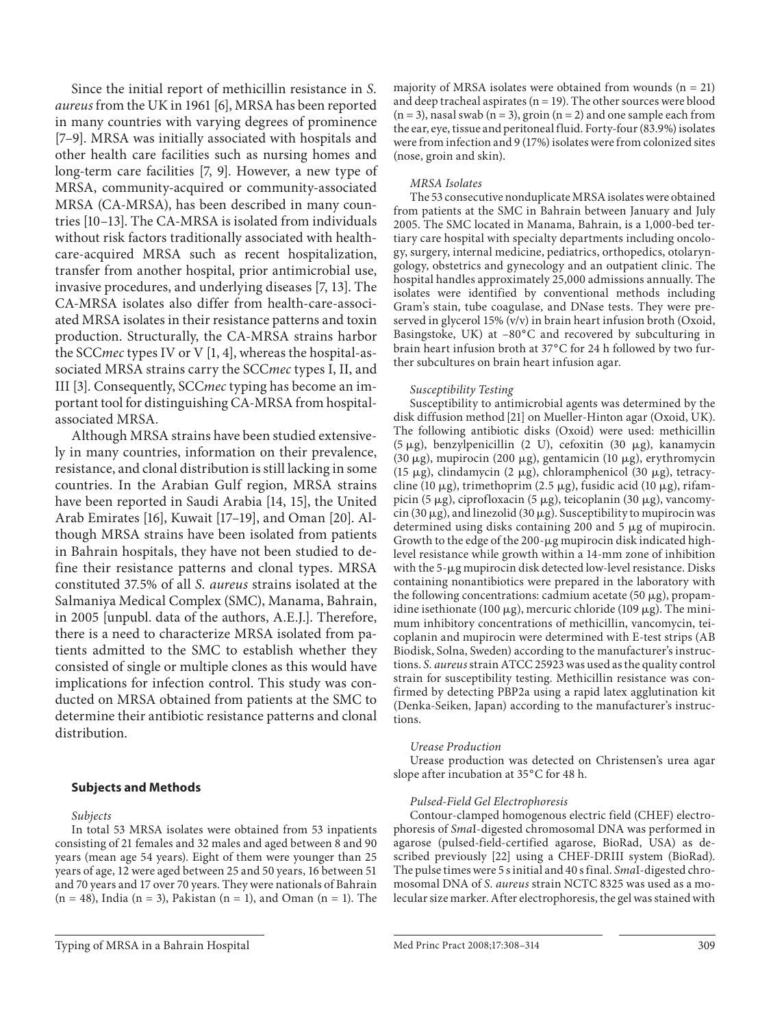Since the initial report of methicillin resistance in *S. aureus* from the UK in 1961 [6] , MRSA has been reported in many countries with varying degrees of prominence [7-9]. MRSA was initially associated with hospitals and other health care facilities such as nursing homes and long-term care facilities [7, 9]. However, a new type of MRSA, community-acquired or community-associated MRSA (CA-MRSA), has been described in many countries [10–13]. The CA-MRSA is isolated from individuals without risk factors traditionally associated with healthcare-acquired MRSA such as recent hospitalization, transfer from another hospital, prior antimicrobial use, invasive procedures, and underlying diseases [7, 13]. The CA-MRSA isolates also differ from health-care-associated MRSA isolates in their resistance patterns and toxin production. Structurally, the CA-MRSA strains harbor the SCC *mec* types IV or V [1, 4], whereas the hospital-associated MRSA strains carry the SCC *mec* types I, II, and III [3]. Consequently, SCC*mec* typing has become an important tool for distinguishing CA-MRSA from hospitalassociated MRSA.

 Although MRSA strains have been studied extensively in many countries, information on their prevalence, resistance, and clonal distribution is still lacking in some countries. In the Arabian Gulf region, MRSA strains have been reported in Saudi Arabia [14, 15], the United Arab Emirates [16], Kuwait [17-19], and Oman [20]. Although MRSA strains have been isolated from patients in Bahrain hospitals, they have not been studied to define their resistance patterns and clonal types. MRSA constituted 37.5% of all *S. aureus* strains isolated at the Salmaniya Medical Complex (SMC), Manama, Bahrain, in 2005 [unpubl. data of the authors, A.E.J.]. Therefore, there is a need to characterize MRSA isolated from patients admitted to the SMC to establish whether they consisted of single or multiple clones as this would have implications for infection control. This study was conducted on MRSA obtained from patients at the SMC to determine their antibiotic resistance patterns and clonal distribution.

## **Subjects and Methods**

 *Subjects* 

 In total 53 MRSA isolates were obtained from 53 inpatients consisting of 21 females and 32 males and aged between 8 and 90 years (mean age 54 years). Eight of them were younger than 25 years of age, 12 were aged between 25 and 50 years, 16 between 51 and 70 years and 17 over 70 years. They were nationals of Bahrain  $(n = 48)$ , India  $(n = 3)$ , Pakistan  $(n = 1)$ , and Oman  $(n = 1)$ . The

Typing of MRSA in a Bahrain Hospital **Med Princ Pract 2008;17:308–314** 309

majority of MRSA isolates were obtained from wounds  $(n = 21)$ and deep tracheal aspirates ( $n = 19$ ). The other sources were blood ( $n = 3$ ), nasal swab ( $n = 3$ ), groin ( $n = 2$ ) and one sample each from the ear, eye, tissue and peritoneal fluid. Forty-four (83.9%) isolates were from infection and 9 (17%) isolates were from colonized sites (nose, groin and skin).

#### *MRSA Isolates*

 The 53 consecutive nonduplicate MRSA isolates were obtained from patients at the SMC in Bahrain between January and July 2005. The SMC located in Manama, Bahrain, is a 1,000-bed tertiary care hospital with specialty departments including oncology, surgery, internal medicine, pediatrics, orthopedics, otolaryngology, obstetrics and gynecology and an outpatient clinic. The hospital handles approximately 25,000 admissions annually. The isolates were identified by conventional methods including Gram's stain, tube coagulase, and DNase tests. They were preserved in glycerol 15% (v/v) in brain heart infusion broth (Oxoid, Basingstoke, UK) at  $-80^{\circ}$ C and recovered by subculturing in brain heart infusion broth at 37°C for 24 h followed by two further subcultures on brain heart infusion agar.

#### *Susceptibility Testing*

 Susceptibility to antimicrobial agents was determined by the disk diffusion method [21] on Mueller-Hinton agar (Oxoid, UK). The following antibiotic disks (Oxoid) were used: methicillin  $(5 \mu g)$ , benzylpenicillin  $(2 \text{ U})$ , cefoxitin  $(30 \mu g)$ , kanamycin  $(30 \mu g)$ , mupirocin  $(200 \mu g)$ , gentamicin  $(10 \mu g)$ , erythromycin (15  $\mu$ g), clindamycin (2  $\mu$ g), chloramphenicol (30  $\mu$ g), tetracycline (10  $\mu$ g), trimethoprim (2.5  $\mu$ g), fusidic acid (10  $\mu$ g), rifampicin (5 µg), ciprofloxacin (5 µg), teicoplanin (30 µg), vancomycin (30  $\mu$ g), and linezolid (30  $\mu$ g). Susceptibility to mupirocin was determined using disks containing 200 and 5  $\mu$ g of mupirocin. Growth to the edge of the 200-µg mupirocin disk indicated highlevel resistance while growth within a 14-mm zone of inhibition with the 5-µg mupirocin disk detected low-level resistance. Disks containing nonantibiotics were prepared in the laboratory with the following concentrations: cadmium acetate (50  $\mu$ g), propamidine isethionate (100  $\mu$ g), mercuric chloride (109  $\mu$ g). The minimum inhibitory concentrations of methicillin, vancomycin, teicoplanin and mupirocin were determined with E-test strips (AB Biodisk, Solna, Sweden) according to the manufacturer's instructions. *S. aureus* strain ATCC 25923 was used as the quality control strain for susceptibility testing. Methicillin resistance was confirmed by detecting PBP2a using a rapid latex agglutination kit (Denka-Seiken, Japan) according to the manufacturer's instructions.

#### *Urease Production*

 Urease production was detected on Christensen's urea agar slope after incubation at 35°C for 48 h.

#### *Pulsed-Field Gel Electrophoresis*

 Contour-clamped homogenous electric field (CHEF) electrophoresis of *Sma*I-digested chromosomal DNA was performed in agarose (pulsed-field-certified agarose, BioRad, USA) as described previously [22] using a CHEF-DRIII system (BioRad). The pulse times were 5 s initial and 40 s final. *Smal*-digested chromosomal DNA of *S. aureus* strain NCTC 8325 was used as a molecular size marker. After electrophoresis, the gel was stained with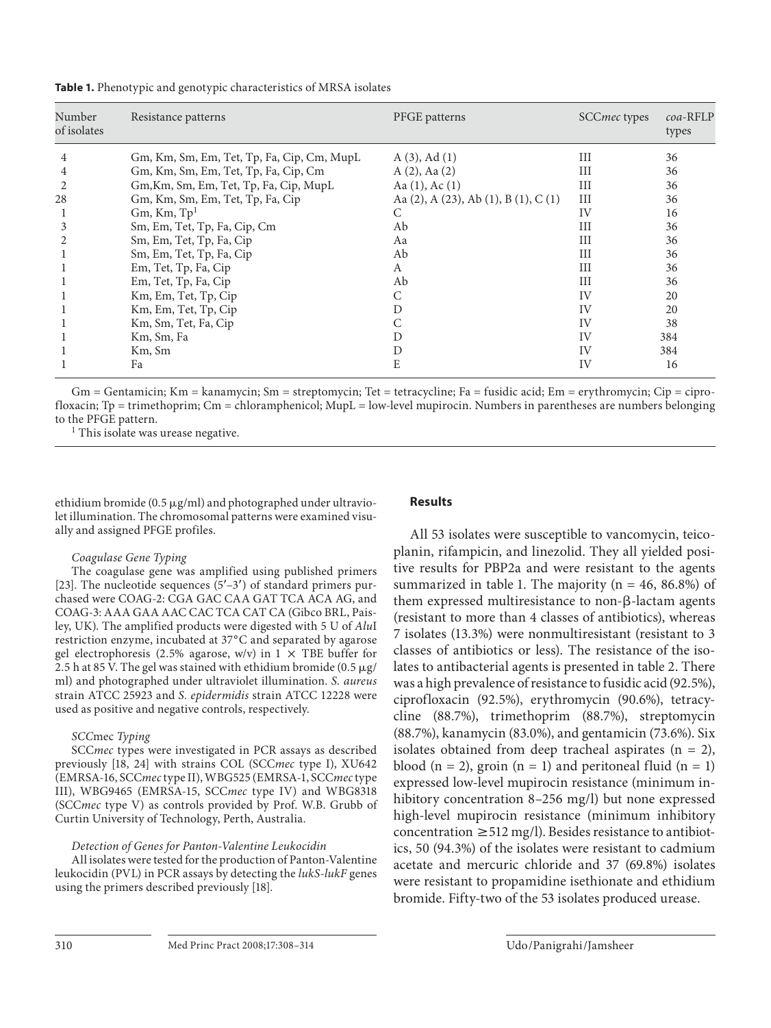| Number<br>of isolates | Resistance patterns                        | PFGE patterns                                      | SCC <i>mec</i> types | $coa$ -RFLP<br>types |
|-----------------------|--------------------------------------------|----------------------------------------------------|----------------------|----------------------|
| 4                     | Gm, Km, Sm, Em, Tet, Tp, Fa, Cip, Cm, MupL | $A(3)$ , Ad $(1)$                                  | Ш                    | 36                   |
| 4                     | Gm, Km, Sm, Em, Tet, Tp, Fa, Cip, Cm       | $A(2)$ , Aa $(2)$                                  | Ш                    | 36                   |
| 2                     | Gm, Km, Sm, Em, Tet, Tp, Fa, Cip, MupL     | Aa $(1)$ , Ac $(1)$                                | Ш                    | 36                   |
| 28                    | Gm, Km, Sm, Em, Tet, Tp, Fa, Cip           | Aa $(2)$ , A $(23)$ , Ab $(1)$ , B $(1)$ , C $(1)$ | III                  | 36                   |
|                       | $Gm$ , Km, $Tp1$                           | C                                                  | IV                   | 16                   |
| 3                     | Sm, Em, Tet, Tp, Fa, Cip, Cm               | Ab                                                 | III                  | 36                   |
|                       | Sm, Em, Tet, Tp, Fa, Cip                   | Aa                                                 | Ш                    | 36                   |
|                       | Sm, Em, Tet, Tp, Fa, Cip                   | Ab                                                 | III                  | 36                   |
|                       | Em, Tet, Tp, Fa, Cip                       | A                                                  | III                  | 36                   |
|                       | Em, Tet, Tp, Fa, Cip                       | Ab                                                 | Ш                    | 36                   |
|                       | Km, Em, Tet, Tp, Cip                       | С                                                  | IV                   | 20                   |
|                       | Km, Em, Tet, Tp, Cip                       | D                                                  | IV                   | 20                   |
|                       | Km, Sm, Tet, Fa, Cip                       |                                                    | IV                   | 38                   |
|                       | Km, Sm, Fa                                 | D                                                  | IV                   | 384                  |
|                       | Km, Sm                                     | D                                                  | IV                   | 384                  |
|                       | Fa                                         | E                                                  | IV                   | 16                   |

**Table 1.** Phenotypic and genotypic characteristics of MRSA isolates

Gm = Gentamicin; Km = kanamycin; Sm = streptomycin; Tet = tetracycline; Fa = fusidic acid; Em = erythromycin; Cip = ciprofloxacin; Tp = trimethoprim; Cm = chloramphenicol; MupL = low-level mupirocin. Numbers in parentheses are numbers belonging to the PFGE pattern.

<sup>1</sup> This isolate was urease negative.

ethidium bromide (0.5  $\mu$ g/ml) and photographed under ultraviolet illumination. The chromosomal patterns were examined visually and assigned PFGE profiles.

#### *Coagulase Gene Typing*

 The coagulase gene was amplified using published primers [23]. The nucleotide sequences  $(5'-3')$  of standard primers purchased were COAG-2: CGA GAC CAA GAT TCA ACA AG, and COAG-3: AAA GAA AAC CAC TCA CAT CA (Gibco BRL, Paisley, UK). The amplified products were digested with 5 U of *Alu* I restriction enzyme, incubated at 37°C and separated by agarose gel electrophoresis (2.5% agarose, w/v) in  $1 \times$  TBE buffer for 2.5 h at 85 V. The gel was stained with ethidium bromide (0.5  $\mu$ g/ ml) and photographed under ultraviolet illumination. *S. aureus* strain ATCC 25923 and *S. epidermidis* strain ATCC 12228 were used as positive and negative controls, respectively.

#### *SCC*mec *Typing*

SCCmec types were investigated in PCR assays as described previously [18, 24] with strains COL (SCCmec type I), XU642 (EMRSA-16, SCC*mec* type II), WBG525 (EMRSA-1, SCC*mec* type III), WBG9465 (EMRSA-15, SCC*mec* type IV) and WBG8318 (SCC*mec* type V) as controls provided by Prof. W.B. Grubb of Curtin University of Technology, Perth, Australia.

## *Detection of Genes for Panton-Valentine Leukocidin*

 All isolates were tested for the production of Panton-Valentine leukocidin (PVL) in PCR assays by detecting the *lukS-lukF* genes using the primers described previously [18] .

## **Results**

 All 53 isolates were susceptible to vancomycin, teicoplanin, rifampicin, and linezolid. They all yielded positive results for PBP2a and were resistant to the agents summarized in table 1. The majority ( $n = 46, 86.8\%$ ) of them expressed multiresistance to non- $\beta$ -lactam agents (resistant to more than 4 classes of antibiotics), whereas 7 isolates (13.3%) were nonmultiresistant (resistant to 3 classes of antibiotics or less). The resistance of the isolates to antibacterial agents is presented in table 2. There was a high prevalence of resistance to fusidic acid (92.5%), ciprofloxacin (92.5%), erythromycin (90.6%), tetracycline (88.7%), trimethoprim (88.7%), streptomycin (88.7%), kanamycin (83.0%), and gentamicin (73.6%). Six isolates obtained from deep tracheal aspirates  $(n = 2)$ , blood  $(n = 2)$ , groin  $(n = 1)$  and peritoneal fluid  $(n = 1)$ expressed low-level mupirocin resistance (minimum inhibitory concentration 8–256 mg/l) but none expressed high-level mupirocin resistance (minimum inhibitory concentration  $\geq 512$  mg/l). Besides resistance to antibiotics, 50 (94.3%) of the isolates were resistant to cadmium acetate and mercuric chloride and 37 (69.8%) isolates were resistant to propamidine isethionate and ethidium bromide. Fifty-two of the 53 isolates produced urease.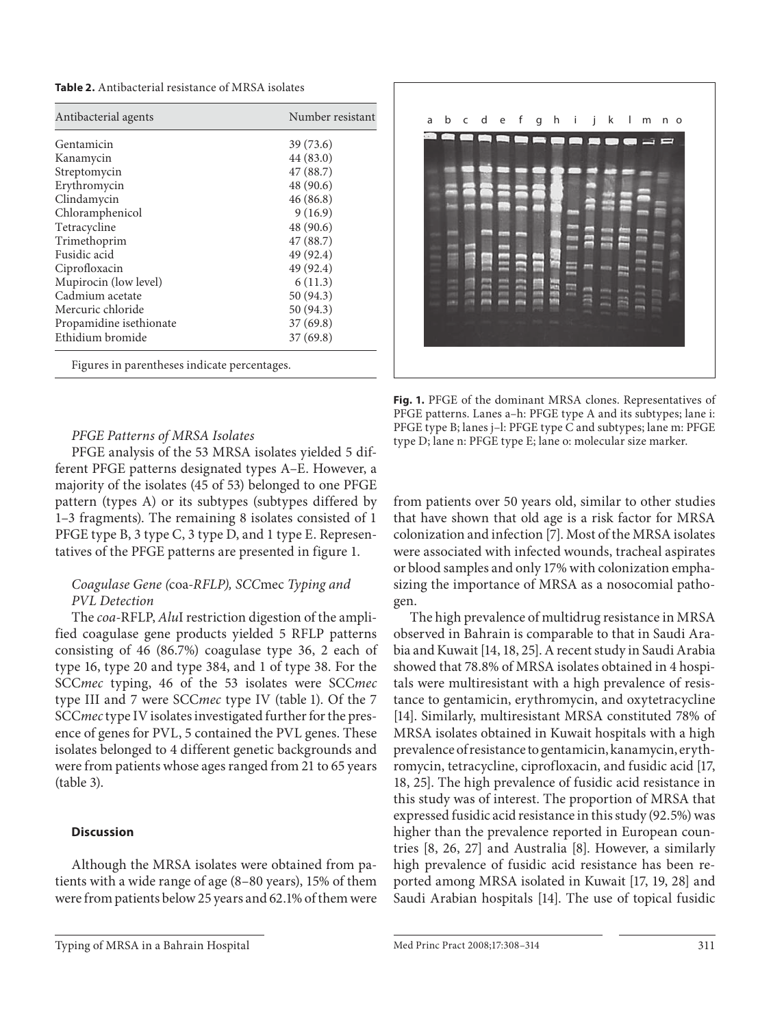**Table 2.** Antibacterial resistance of MRSA isolates

| Antibacterial agents    | Number resistant |  |  |
|-------------------------|------------------|--|--|
| Gentamicin              | 39 (73.6)        |  |  |
| Kanamycin               | 44 (83.0)        |  |  |
| Streptomycin            | 47 (88.7)        |  |  |
| Erythromycin            | 48 (90.6)        |  |  |
| Clindamycin             | 46(86.8)         |  |  |
| Chloramphenicol         | 9(16.9)          |  |  |
| Tetracycline            | 48 (90.6)        |  |  |
| Trimethoprim            | 47(88.7)         |  |  |
| Fusidic acid            | 49 (92.4)        |  |  |
| Ciprofloxacin           | 49 (92.4)        |  |  |
| Mupirocin (low level)   | 6(11.3)          |  |  |
| Cadmium acetate         | 50 (94.3)        |  |  |
| Mercuric chloride       | 50 (94.3)        |  |  |
| Propamidine isethionate | 37(69.8)         |  |  |
| Ethidium bromide        | 37(69.8)         |  |  |

Figures in parentheses indicate percentages.

## *PFGE Patterns of MRSA Isolates*

 PFGE analysis of the 53 MRSA isolates yielded 5 different PFGE patterns designated types A–E. However, a majority of the isolates (45 of 53) belonged to one PFGE pattern (types A) or its subtypes (subtypes differed by 1–3 fragments). The remaining 8 isolates consisted of 1 PFGE type B, 3 type C, 3 type D, and 1 type E. Representatives of the PFGE patterns are presented in figure 1.

## *Coagulase Gene (*coa*-RFLP), SCC*mec *Typing and PVL Detection*

The *coa*-RFLP, *AluI* restriction digestion of the amplified coagulase gene products yielded 5 RFLP patterns consisting of 46 (86.7%) coagulase type 36, 2 each of type 16, type 20 and type 384, and 1 of type 38. For the SCC *mec* typing, 46 of the 53 isolates were SCC *mec* type III and 7 were SCCmec type IV (table 1). Of the 7 SCC *mec* type IV isolates investigated further for the presence of genes for PVL, 5 contained the PVL genes. These isolates belonged to 4 different genetic backgrounds and were from patients whose ages ranged from 21 to 65 years  $(table 3)$ .

## **Discussion**

 Although the MRSA isolates were obtained from patients with a wide range of age (8–80 years), 15% of them were from patients below 25 years and 62.1% of them were



**Fig. 1.** PFGE of the dominant MRSA clones. Representatives of PFGE patterns. Lanes a–h: PFGE type A and its subtypes; lane i: PFGE type B; lanes j–l: PFGE type C and subtypes; lane m: PFGE type D; lane n: PFGE type E; lane o: molecular size marker.

from patients over 50 years old, similar to other studies that have shown that old age is a risk factor for MRSA colonization and infection [7] . Most of the MRSA isolates were associated with infected wounds, tracheal aspirates or blood samples and only 17% with colonization emphasizing the importance of MRSA as a nosocomial pathogen.

 The high prevalence of multidrug resistance in MRSA observed in Bahrain is comparable to that in Saudi Arabia and Kuwait [14, 18, 25] . A recent study in Saudi Arabia showed that 78.8% of MRSA isolates obtained in 4 hospitals were multiresistant with a high prevalence of resistance to gentamicin, erythromycin, and oxytetracycline [14]. Similarly, multiresistant MRSA constituted 78% of MRSA isolates obtained in Kuwait hospitals with a high prevalence of resistance to gentamicin, kanamycin, erythromycin, tetracycline, ciprofloxacin, and fusidic acid [17, 18, 25]. The high prevalence of fusidic acid resistance in this study was of interest. The proportion of MRSA that expressed fusidic acid resistance in this study (92.5%) was higher than the prevalence reported in European countries [8, 26, 27] and Australia [8]. However, a similarly high prevalence of fusidic acid resistance has been reported among MRSA isolated in Kuwait [17, 19, 28] and Saudi Arabian hospitals [14]. The use of topical fusidic

Typing of MRSA in a Bahrain Hospital Med Princ Pract 2008;17:308-314 311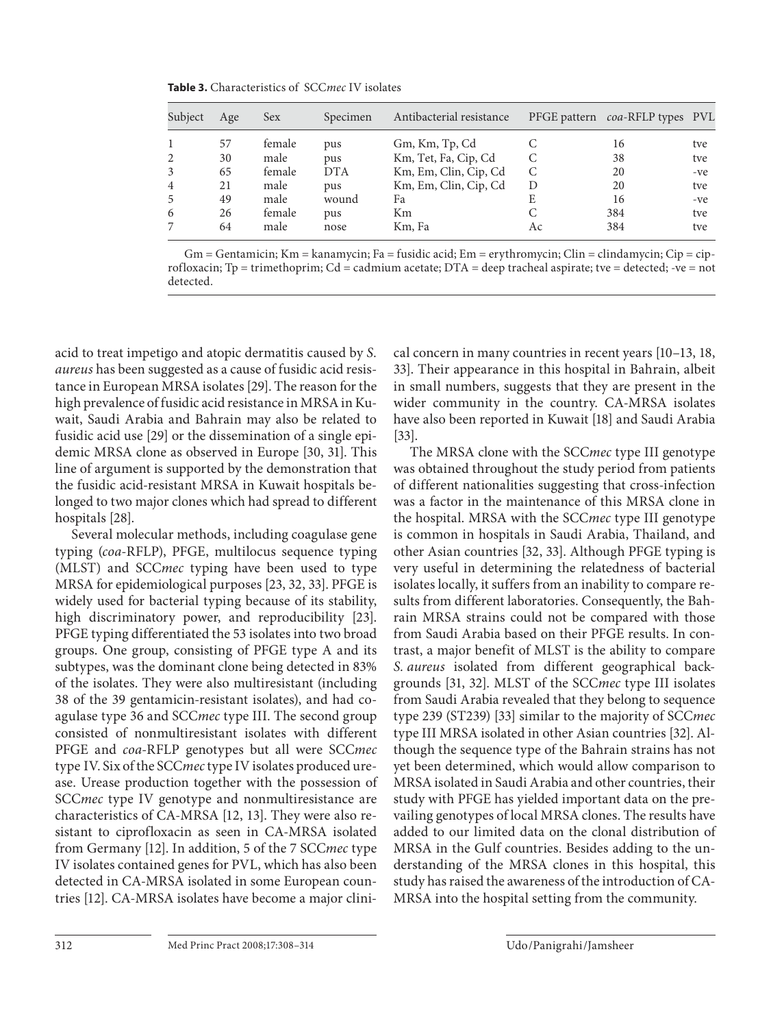**Table 3.** Characteristics of SCC*mec* IV isolates

| Subject        | Age | <b>Sex</b> | Specimen   | Antibacterial resistance |    | PFGE pattern coa-RFLP types PVL |     |
|----------------|-----|------------|------------|--------------------------|----|---------------------------------|-----|
|                | 57  | female     | pus        | Gm, Km, Tp, Cd           |    | 16                              | tve |
| 2              | 30  | male       | pus        | Km, Tet, Fa, Cip, Cd     |    | 38                              | tve |
| 3              | 65  | female     | <b>DTA</b> | Km, Em, Clin, Cip, Cd    | C  | 20                              | -ve |
| $\overline{4}$ | 21  | male       | pus        | Km, Em, Clin, Cip, Cd    | D  | 20                              | tve |
| 5              | 49  | male       | wound      | Fa                       | E  | 16                              | -ve |
| 6              | 26  | female     | pus        | Km                       |    | 384                             | tve |
|                | 64  | male       | nose       | Km, Fa                   | Ac | 384                             | tve |

Gm = Gentamicin; Km = kanamycin; Fa = fusidic acid; Em = erythromycin; Clin = clindamycin; Cip = ciprofloxacin; Tp = trimethoprim; Cd = cadmium acetate; DTA = deep tracheal aspirate; tve = detected; -ve = not detected.

acid to treat impetigo and atopic dermatitis caused by *S. aureus* has been suggested as a cause of fusidic acid resistance in European MRSA isolates [29] . The reason for the high prevalence of fusidic acid resistance in MRSA in Kuwait, Saudi Arabia and Bahrain may also be related to fusidic acid use [29] or the dissemination of a single epidemic MRSA clone as observed in Europe [30, 31]. This line of argument is supported by the demonstration that the fusidic acid-resistant MRSA in Kuwait hospitals belonged to two major clones which had spread to different hospitals [28].

 Several molecular methods, including coagulase gene typing ( *coa* -RFLP), PFGE, multilocus sequence typing (MLST) and SCC*mec* typing have been used to type MRSA for epidemiological purposes [23, 32, 33] . PFGE is widely used for bacterial typing because of its stability, high discriminatory power, and reproducibility [23]. PFGE typing differentiated the 53 isolates into two broad groups. One group, consisting of PFGE type A and its subtypes, was the dominant clone being detected in 83% of the isolates. They were also multiresistant (including 38 of the 39 gentamicin-resistant isolates), and had coagulase type 36 and SCC *mec* type III. The second group consisted of nonmultiresistant isolates with different PFGE and *coa*-RFLP genotypes but all were SCCmec type IV. Six of the SCC *mec* type IV isolates produced urease. Urease production together with the possession of SCC*mec* type IV genotype and nonmultiresistance are characteristics of CA-MRSA [12, 13]. They were also resistant to ciprofloxacin as seen in CA-MRSA isolated from Germany [12]. In addition, 5 of the 7 SCC *mec* type IV isolates contained genes for PVL, which has also been detected in CA-MRSA isolated in some European countries [12]. CA-MRSA isolates have become a major clinical concern in many countries in recent years [10–13, 18, 33]. Their appearance in this hospital in Bahrain, albeit in small numbers, suggests that they are present in the wider community in the country. CA-MRSA isolates have also been reported in Kuwait [18] and Saudi Arabia  $[33]$ .

The MRSA clone with the SCC*mec* type III genotype was obtained throughout the study period from patients of different nationalities suggesting that cross-infection was a factor in the maintenance of this MRSA clone in the hospital. MRSA with the SCC *mec* type III genotype is common in hospitals in Saudi Arabia, Thailand, and other Asian countries [32, 33] . Although PFGE typing is very useful in determining the relatedness of bacterial isolates locally, it suffers from an inability to compare results from different laboratories. Consequently, the Bahrain MRSA strains could not be compared with those from Saudi Arabia based on their PFGE results. In contrast, a major benefit of MLST is the ability to compare *S. aureus* isolated from different geographical backgrounds [31, 32] . MLST of the SCC *mec* type III isolates from Saudi Arabia revealed that they belong to sequence type 239 (ST239) [33] similar to the majority of SCC *mec* type III MRSA isolated in other Asian countries [32] . Although the sequence type of the Bahrain strains has not yet been determined, which would allow comparison to MRSA isolated in Saudi Arabia and other countries, their study with PFGE has yielded important data on the prevailing genotypes of local MRSA clones. The results have added to our limited data on the clonal distribution of MRSA in the Gulf countries. Besides adding to the understanding of the MRSA clones in this hospital, this study has raised the awareness of the introduction of CA-MRSA into the hospital setting from the community.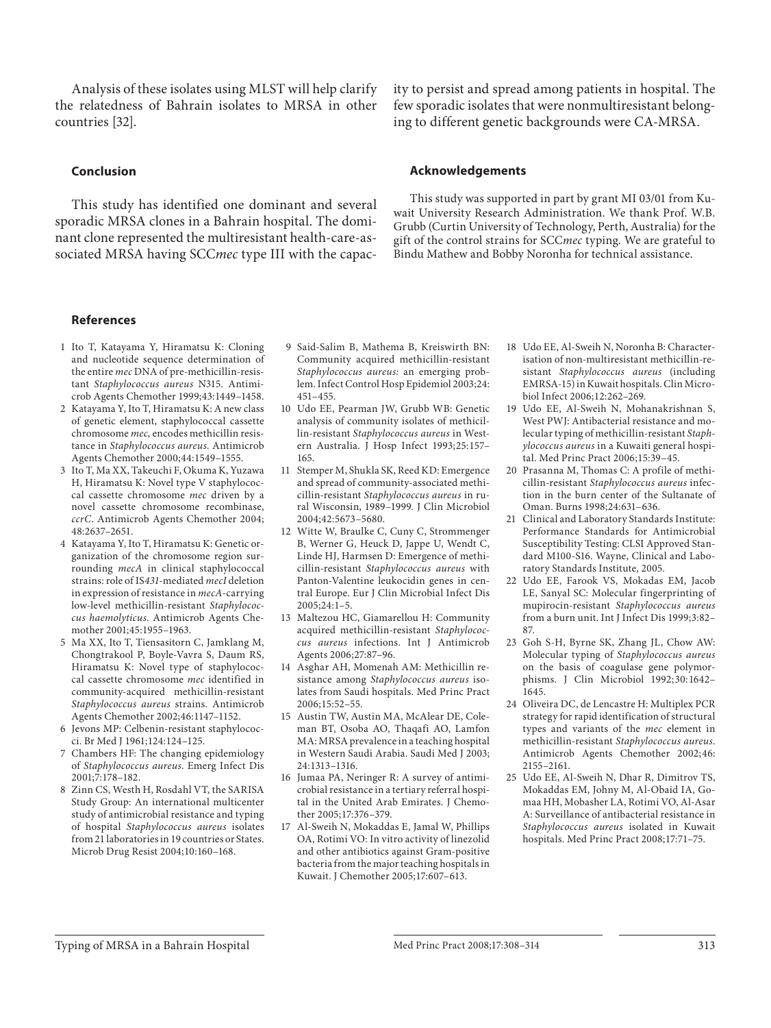## **Conclusion**

 This study has identified one dominant and several sporadic MRSA clones in a Bahrain hospital. The dominant clone represented the multiresistant health-care-associated MRSA having SCCmec type III with the capacity to persist and spread among patients in hospital. The few sporadic isolates that were nonmultiresistant belonging to different genetic backgrounds were CA-MRSA.

#### **Acknowledgements**

 This study was supported in part by grant MI 03/01 from Kuwait University Research Administration. We thank Prof. W.B. Grubb (Curtin University of Technology, Perth, Australia) for the gift of the control strains for SCC *mec* typing. We are grateful to Bindu Mathew and Bobby Noronha for technical assistance.

## **References**

- 1 Ito T, Katayama Y, Hiramatsu K: Cloning and nucleotide sequence determination of the entire *mec* DNA of pre-methicillin-resistant *Staphylococcus aureus* N315. Antimicrob Agents Chemother 1999;43:1449–1458.
- 2 Katayama Y, Ito T, Hiramatsu K: A new class of genetic element, staphylococcal cassette chromosome *mec,* encodes methicillin resistance in *Staphylococcus aureus.* Antimicrob Agents Chemother 2000;44:1549–1555.
- 3 Ito T, Ma XX, Takeuchi F, Okuma K, Yuzawa H, Hiramatsu K: Novel type V staphylococcal cassette chromosome *mec* driven by a novel cassette chromosome recombinase, *ccrC* . Antimicrob Agents Chemother 2004; 48:2637–2651.
- 4 Katayama Y, Ito T, Hiramatsu K: Genetic organization of the chromosome region surrounding *mecA* in clinical staphylococcal strains: role of IS *431* -mediated *mecI* deletion in expression of resistance in *mecA* -carrying low-level methicillin-resistant *Staphylococcus haemolyticus* . Antimicrob Agents Chemother 2001;45:1955–1963.
- 5 Ma XX, Ito T, Tiensasitorn C, Jamklang M, Chongtrakool P, Boyle-Vavra S, Daum RS, Hiramatsu K: Novel type of staphylococcal cassette chromosome *mec* identified in community-acquired methicillin-resistant *Staphylococcus aureus* strains. Antimicrob Agents Chemother 2002;46:1147–1152.
- 6 Jevons MP: Celbenin-resistant staphylococci. Br Med J 1961;124:124–125.
- 7 Chambers HF: The changing epidemiology of *Staphylococcus aureus* . Emerg Infect Dis 2001;7:178–182.
- 8 Zinn CS, Westh H, Rosdahl VT, the SARISA Study Group: An international multicenter study of antimicrobial resistance and typing of hospital *Staphylococcus aureus* isolates from 21 laboratories in 19 countries or States. Microb Drug Resist 2004;10:160–168.
- 9 Said-Salim B, Mathema B, Kreiswirth BN: Community acquired methicillin-resistant *Staphylococcus aureus:* an emerging problem. Infect Control Hosp Epidemiol 2003;24: 451–455.
- 10 Udo EE, Pearman JW, Grubb WB: Genetic analysis of community isolates of methicillin-resistant *Staphylococcus aureus* in Western Australia. J Hosp Infect 1993;25:157– 165.
- 11 Stemper M, Shukla SK, Reed KD: Emergence and spread of community-associated methicillin *-* resistant *Staphylococcus aureus* in rural Wisconsin, 1989–1999 *.* J Clin Microbiol 2004;42:5673–5680.
- 12 Witte W, Braulke C, Cuny C, Strommenger B, Werner G, Heuck D, Jappe U, Wendt C, Linde HJ, Harmsen D: Emergence of methicillin-resistant *Staphylococcus aureus* with Panton-Valentine leukocidin genes in central Europe. Eur J Clin Microbial Infect Dis 2005;24:1–5.
- 13 Maltezou HC, Giamarellou H: Community acquired methicillin-resistant *Staphylococcus aureus* infections. Int J Antimicrob Agents 2006;27:87–96.
- 14 Asghar AH, Momenah AM: Methicillin resistance among *Staphylococcus aureus* isolates from Saudi hospitals. Med Princ Pract 2006;15:52–55.
- 15 Austin TW, Austin MA, McAlear DE, Coleman BT, Osoba AO, Thaqafi AO, Lamfon MA: MRSA prevalence in a teaching hospital in Western Saudi Arabia. Saudi Med J 2003; 24:1313–1316.
- 16 Jumaa PA, Neringer R: A survey of antimicrobial resistance in a tertiary referral hospital in the United Arab Emirates. J Chemother 2005;17:376–379.
- 17 Al-Sweih N, Mokaddas E, Jamal W, Phillips OA, Rotimi VO: In vitro activity of linezolid and other antibiotics against Gram-positive bacteria from the major teaching hospitals in Kuwait. J Chemother 2005;17:607–613.
- 18 Udo EE, Al-Sweih N, Noronha B: Characterisation of non-multiresistant methicillin-resistant *Staphylococcus aureus* (including EMRSA-15) in Kuwait hospitals. Clin Microbiol Infect 2006;12:262–269.
- 19 Udo EE, Al-Sweih N, Mohanakrishnan S, West PWJ: Antibacterial resistance and molecular typing of methicillin-resistant *Staphylococcus aureus* in a Kuwaiti general hospital. Med Princ Pract 2006;15:39–45.
- 20 Prasanna M, Thomas C: A profile of methicillin-resistant *Staphylococcus aureus* infection in the burn center of the Sultanate of Oman. Burns 1998;24:631–636.
- 21 Clinical and Laboratory Standards Institute: Performance Standards for Antimicrobial Susceptibility Testing: CLSI Approved Standard M100-S16. Wayne, Clinical and Laboratory Standards Institute, 2005.
- 22 Udo EE, Farook VS, Mokadas EM, Jacob LE, Sanyal SC: Molecular fingerprinting of mupirocin-resistant *Staphylococcus aureus* from a burn unit. Int J Infect Dis 1999;3:82– 87.
- 23 Goh S-H, Byrne SK, Zhang JL, Chow AW: Molecular typing of *Staphylococcus aureus* on the basis of coagulase gene polymorphisms. J Clin Microbiol 1992; 30: 1642– 1645.
- 24 Oliveira DC, de Lencastre H: Multiplex PCR strategy for rapid identification of structural types and variants of the *mec* element in methicillin-resistant *Staphylococcus aureus* . Antimicrob Agents Chemother 2002; 46: 2155–2161.
- 25 Udo EE, Al-Sweih N, Dhar R, Dimitrov TS, Mokaddas EM, Johny M, Al-Obaid IA, Gomaa HH, Mobasher LA, Rotimi VO, Al-Asar A: Surveillance of antibacterial resistance in *Staphylococcus aureus* isolated in Kuwait hospitals. Med Princ Pract 2008;17:71–75.